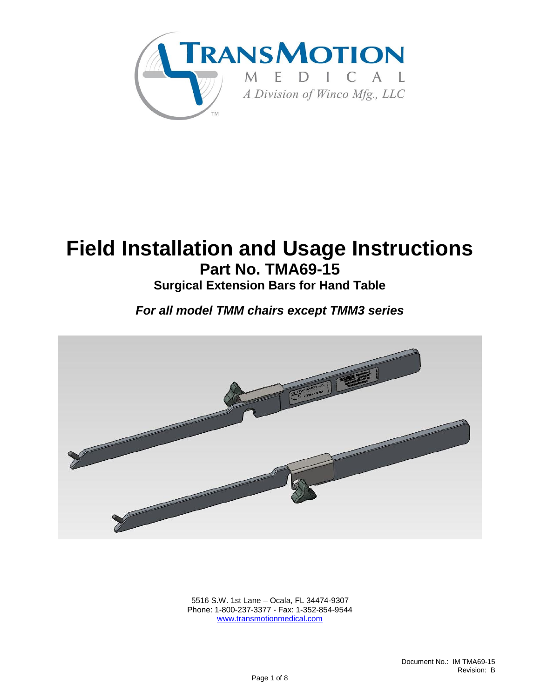

# **Field Installation and Usage Instructions Part No. TMA69-15**

**Surgical Extension Bars for Hand Table**

*For all model TMM chairs except TMM3 series*



 5516 S.W. 1st Lane – Ocala, FL 34474-9307 Phone: 1-800-237-3377 - Fax: 1-352-854-9544 [www.transmotionmedical.com](http://www.transmotionmedical.com/)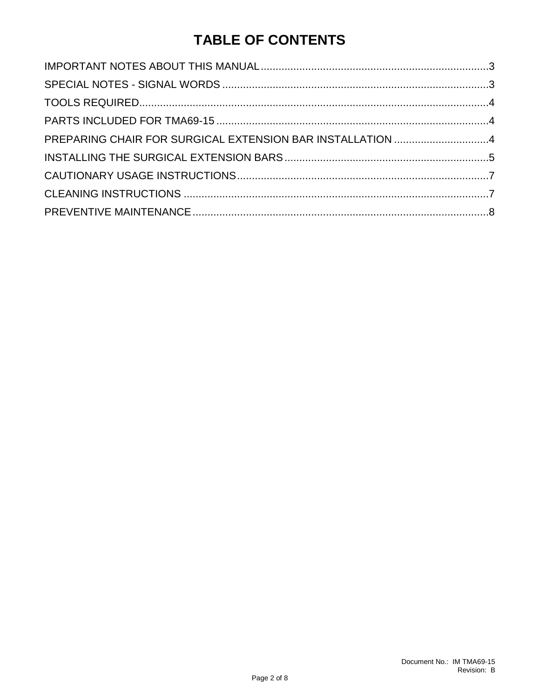# **TABLE OF CONTENTS**

| PREPARING CHAIR FOR SURGICAL EXTENSION BAR INSTALLATION 4 |  |
|-----------------------------------------------------------|--|
|                                                           |  |
|                                                           |  |
|                                                           |  |
|                                                           |  |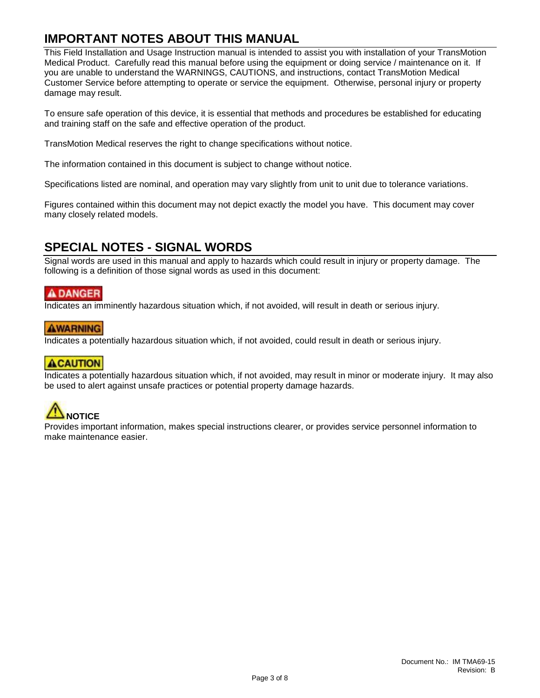### <span id="page-2-0"></span>**IMPORTANT NOTES ABOUT THIS MANUAL**

This Field Installation and Usage Instruction manual is intended to assist you with installation of your TransMotion Medical Product. Carefully read this manual before using the equipment or doing service / maintenance on it. If you are unable to understand the WARNINGS, CAUTIONS, and instructions, contact TransMotion Medical Customer Service before attempting to operate or service the equipment. Otherwise, personal injury or property damage may result.

To ensure safe operation of this device, it is essential that methods and procedures be established for educating and training staff on the safe and effective operation of the product.

TransMotion Medical reserves the right to change specifications without notice.

The information contained in this document is subject to change without notice.

Specifications listed are nominal, and operation may vary slightly from unit to unit due to tolerance variations.

Figures contained within this document may not depict exactly the model you have. This document may cover many closely related models.

### <span id="page-2-1"></span>**SPECIAL NOTES - SIGNAL WORDS**

Signal words are used in this manual and apply to hazards which could result in injury or property damage. The following is a definition of those signal words as used in this document:

#### **ADANGER**

Indicates an imminently hazardous situation which, if not avoided, will result in death or serious injury.

#### **AWARNING**

Indicates a potentially hazardous situation which, if not avoided, could result in death or serious injury.

#### **ACAUTION**

Indicates a potentially hazardous situation which, if not avoided, may result in minor or moderate injury. It may also be used to alert against unsafe practices or potential property damage hazards.

# **NOTICE**

Provides important information, makes special instructions clearer, or provides service personnel information to make maintenance easier.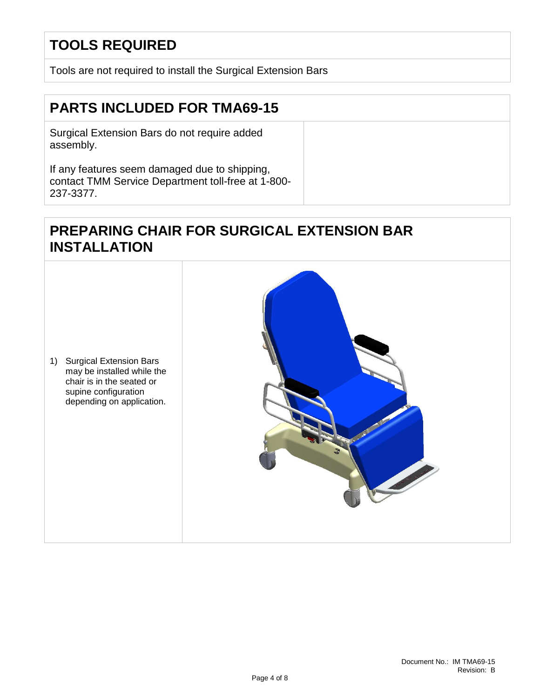# <span id="page-3-0"></span>**TOOLS REQUIRED**

Tools are not required to install the Surgical Extension Bars

## <span id="page-3-1"></span>**PARTS INCLUDED FOR TMA69-15**

Surgical Extension Bars do not require added assembly.

If any features seem damaged due to shipping, contact TMM Service Department toll-free at 1-800- 237-3377.

### <span id="page-3-2"></span>**PREPARING CHAIR FOR SURGICAL EXTENSION BAR INSTALLATION**

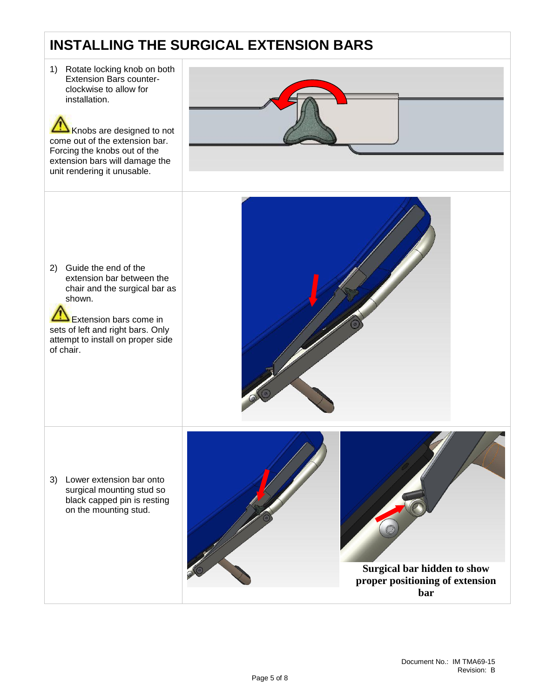# <span id="page-4-0"></span>**INSTALLING THE SURGICAL EXTENSION BARS**

1) Rotate locking knob on both Extension Bars counterclockwise to allow for installation.

<u>/!</u> Knobs are designed to not come out of the extension bar. Forcing the knobs out of the extension bars will damage the unit rendering it unusable.



2) Guide the end of the extension bar between the chair and the surgical bar as shown.

**Extension bars come in** sets of left and right bars. Only attempt to install on proper side of chair.



3) Lower extension bar onto surgical mounting stud so black capped pin is resting on the mounting stud.

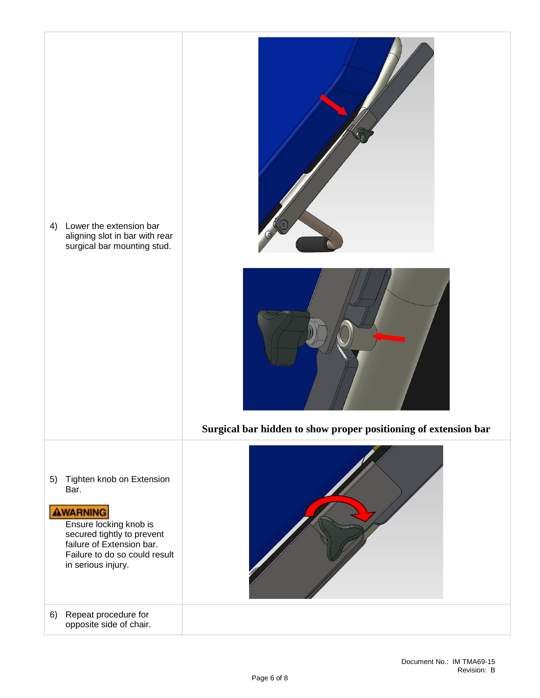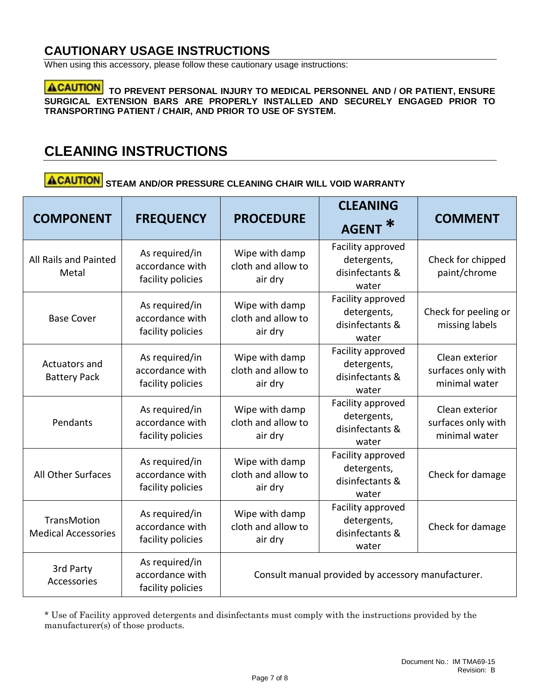### <span id="page-6-0"></span>**CAUTIONARY USAGE INSTRUCTIONS**

When using this accessory, please follow these cautionary usage instructions:

**ACAUTION** TO PREVENT PERSONAL INJURY TO MEDICAL PERSONNEL AND / OR PATIENT, ENSURE **SURGICAL EXTENSION BARS ARE PROPERLY INSTALLED AND SECURELY ENGAGED PRIOR TO TRANSPORTING PATIENT / CHAIR, AND PRIOR TO USE OF SYSTEM.**

## <span id="page-6-1"></span>**CLEANING INSTRUCTIONS**

**ACAUTION** STEAM AND/OR PRESSURE CLEANING CHAIR WILL VOID WARRANTY

| <b>COMPONENT</b>                          | <b>FREQUENCY</b>                                       | <b>PROCEDURE</b>                                   | <b>CLEANING</b><br><b>AGENT</b>                              | <b>COMMENT</b>                                        |
|-------------------------------------------|--------------------------------------------------------|----------------------------------------------------|--------------------------------------------------------------|-------------------------------------------------------|
| All Rails and Painted<br>Metal            | As required/in<br>accordance with<br>facility policies | Wipe with damp<br>cloth and allow to<br>air dry    | Facility approved<br>detergents,<br>disinfectants &<br>water | Check for chipped<br>paint/chrome                     |
| <b>Base Cover</b>                         | As required/in<br>accordance with<br>facility policies | Wipe with damp<br>cloth and allow to<br>air dry    | Facility approved<br>detergents,<br>disinfectants &<br>water | Check for peeling or<br>missing labels                |
| Actuators and<br><b>Battery Pack</b>      | As required/in<br>accordance with<br>facility policies | Wipe with damp<br>cloth and allow to<br>air dry    | Facility approved<br>detergents,<br>disinfectants &<br>water | Clean exterior<br>surfaces only with<br>minimal water |
| Pendants                                  | As required/in<br>accordance with<br>facility policies | Wipe with damp<br>cloth and allow to<br>air dry    | Facility approved<br>detergents,<br>disinfectants &<br>water | Clean exterior<br>surfaces only with<br>minimal water |
| All Other Surfaces                        | As required/in<br>accordance with<br>facility policies | Wipe with damp<br>cloth and allow to<br>air dry    | Facility approved<br>detergents,<br>disinfectants &<br>water | Check for damage                                      |
| TransMotion<br><b>Medical Accessories</b> | As required/in<br>accordance with<br>facility policies | Wipe with damp<br>cloth and allow to<br>air dry    | Facility approved<br>detergents,<br>disinfectants &<br>water | Check for damage                                      |
| 3rd Party<br>Accessories                  | As required/in<br>accordance with<br>facility policies | Consult manual provided by accessory manufacturer. |                                                              |                                                       |

\* Use of Facility approved detergents and disinfectants must comply with the instructions provided by the manufacturer(s) of those products.